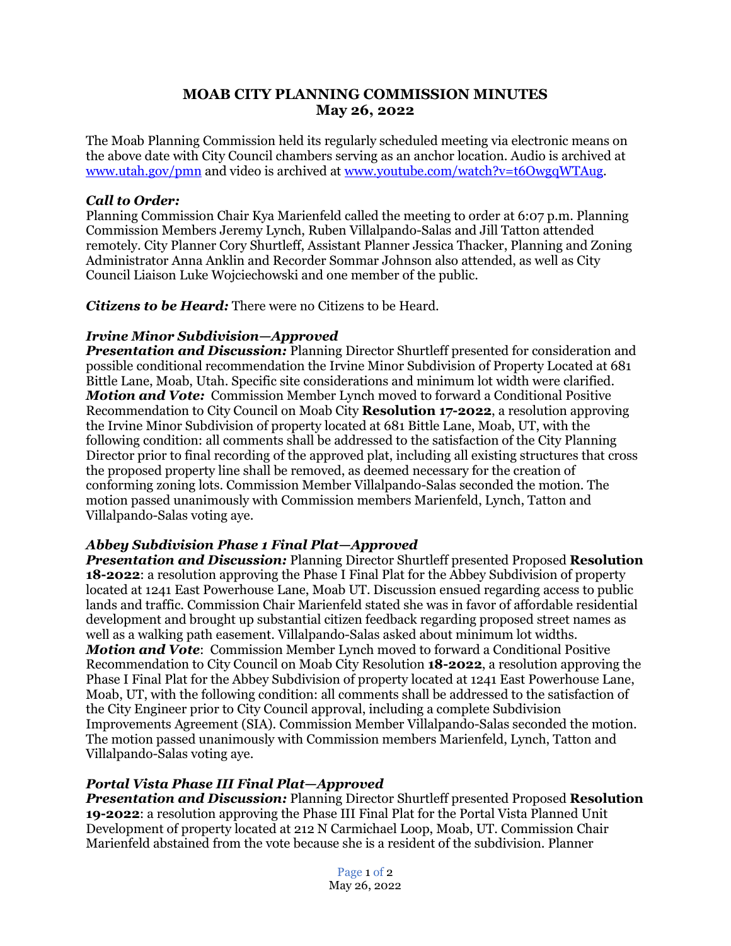# **MOAB CITY PLANNING COMMISSION MINUTES May 26, 2022**

The Moab Planning Commission held its regularly scheduled meeting via electronic means on the above date with City Council chambers serving as an anchor location. Audio is archived at www.utah.gov/pmn and video is archived at [www.youtube.com/watch?v=t6OwgqWTAug.](http://www.youtube.com/watch?v=t6OwgqWTAug)

#### *Call to Order:*

Planning Commission Chair Kya Marienfeld called the meeting to order at 6:07 p.m. Planning Commission Members Jeremy Lynch, Ruben Villalpando-Salas and Jill Tatton attended remotely. City Planner Cory Shurtleff, Assistant Planner Jessica Thacker, Planning and Zoning Administrator Anna Anklin and Recorder Sommar Johnson also attended, as well as City Council Liaison Luke Wojciechowski and one member of the public.

*Citizens to be Heard:* There were no Citizens to be Heard.

### *Irvine Minor Subdivision—Approved*

*Presentation and Discussion:* Planning Director Shurtleff presented for consideration and possible conditional recommendation the Irvine Minor Subdivision of Property Located at 681 Bittle Lane, Moab, Utah. Specific site considerations and minimum lot width were clarified. *Motion and Vote:* Commission Member Lynch moved to forward a Conditional Positive Recommendation to City Council on Moab City **Resolution 17-2022**, a resolution approving the Irvine Minor Subdivision of property located at 681 Bittle Lane, Moab, UT, with the following condition: all comments shall be addressed to the satisfaction of the City Planning Director prior to final recording of the approved plat, including all existing structures that cross the proposed property line shall be removed, as deemed necessary for the creation of conforming zoning lots. Commission Member Villalpando-Salas seconded the motion. The motion passed unanimously with Commission members Marienfeld, Lynch, Tatton and Villalpando-Salas voting aye.

# *Abbey Subdivision Phase 1 Final Plat—Approved*

*Presentation and Discussion:* Planning Director Shurtleff presented Proposed **Resolution 18-2022**: a resolution approving the Phase I Final Plat for the Abbey Subdivision of property located at 1241 East Powerhouse Lane, Moab UT. Discussion ensued regarding access to public lands and traffic. Commission Chair Marienfeld stated she was in favor of affordable residential development and brought up substantial citizen feedback regarding proposed street names as well as a walking path easement. Villalpando-Salas asked about minimum lot widths. *Motion and Vote*: Commission Member Lynch moved to forward a Conditional Positive Recommendation to City Council on Moab City Resolution **18-2022**, a resolution approving the Phase I Final Plat for the Abbey Subdivision of property located at 1241 East Powerhouse Lane, Moab, UT, with the following condition: all comments shall be addressed to the satisfaction of the City Engineer prior to City Council approval, including a complete Subdivision Improvements Agreement (SIA). Commission Member Villalpando-Salas seconded the motion. The motion passed unanimously with Commission members Marienfeld, Lynch, Tatton and Villalpando-Salas voting aye.

# *Portal Vista Phase III Final Plat—Approved*

*Presentation and Discussion:* Planning Director Shurtleff presented Proposed **Resolution 19-2022**: a resolution approving the Phase III Final Plat for the Portal Vista Planned Unit Development of property located at 212 N Carmichael Loop, Moab, UT. Commission Chair Marienfeld abstained from the vote because she is a resident of the subdivision. Planner

> Page 1 of 2 May 26, 2022